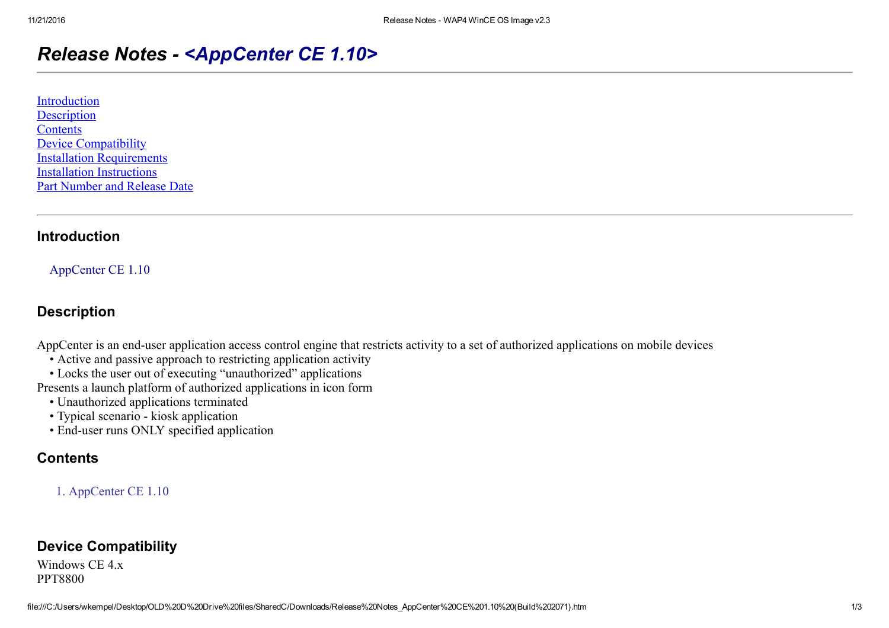# Release Notes - <AppCenter CE 1.10>

| Introduction                        |
|-------------------------------------|
| Description                         |
| <b>Contents</b>                     |
| <b>Device Compatibility</b>         |
| <b>Installation Requirements</b>    |
| <b>Installation Instructions</b>    |
| <b>Part Number and Release Date</b> |

#### <span id="page-0-0"></span>Introduction

AppCenter CE 1.10

#### <span id="page-0-1"></span>**Description**

AppCenter is an end-user application access control engine that restricts activity to a set of authorized applications on mobile devices

- Active and passive approach to restricting application activity
- Locks the user out of executing "unauthorized" applications

Presents a launch platform of authorized applications in icon form

- Unauthorized applications terminated
- Typical scenario kiosk application
- End-user runs ONLY specified application

### <span id="page-0-2"></span>**Contents**

1. AppCenter CE 1.10

### <span id="page-0-3"></span>Device Compatibility

Windows CE 4.x PPT8800